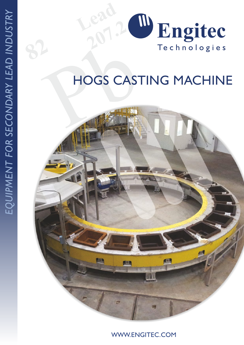# HOGS CASTING MACHINE



WWW.ENGITEC.COM